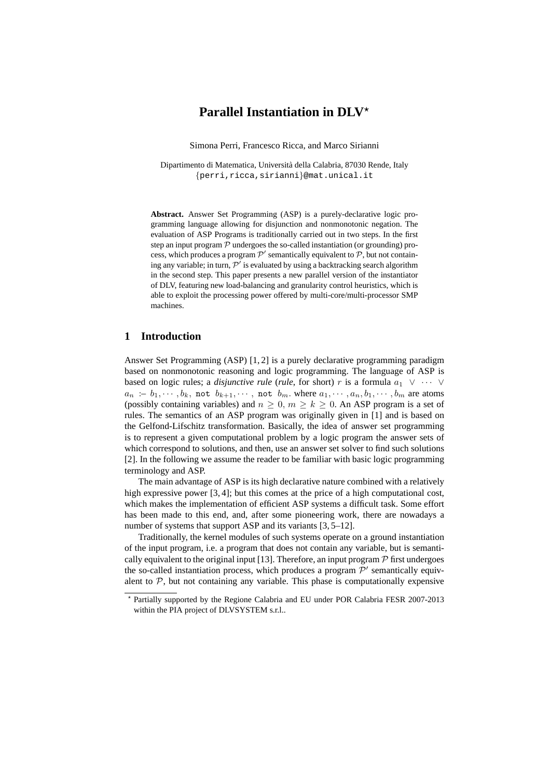# **Parallel Instantiation in DLV**<sup>\*</sup>

Simona Perri, Francesco Ricca, and Marco Sirianni

Dipartimento di Matematica, Universita della Calabria, 87030 Rende, Italy ` {perri,ricca,sirianni}@mat.unical.it

**Abstract.** Answer Set Programming (ASP) is a purely-declarative logic programming language allowing for disjunction and nonmonotonic negation. The evaluation of ASP Programs is traditionally carried out in two steps. In the first step an input program  $P$  undergoes the so-called instantiation (or grounding) process, which produces a program  $\mathcal{P}'$  semantically equivalent to  $\mathcal{P}$ , but not containing any variable; in turn,  $\mathcal{P}'$  is evaluated by using a backtracking search algorithm in the second step. This paper presents a new parallel version of the instantiator of DLV, featuring new load-balancing and granularity control heuristics, which is able to exploit the processing power offered by multi-core/multi-processor SMP machines.

## **1 Introduction**

Answer Set Programming (ASP) [1, 2] is a purely declarative programming paradigm based on nonmonotonic reasoning and logic programming. The language of ASP is based on logic rules; a *disjunctive rule* (*rule*, for short) r is a formula  $a_1 \vee \cdots \vee$  $a_n$  :–  $b_1, \dots, b_k$ , not  $b_{k+1}, \dots$ , not  $b_m$ . where  $a_1, \dots, a_n, b_1, \dots, b_m$  are atoms (possibly containing variables) and  $n \geq 0$ ,  $m \geq k \geq 0$ . An ASP program is a set of rules. The semantics of an ASP program was originally given in [1] and is based on the Gelfond-Lifschitz transformation. Basically, the idea of answer set programming is to represent a given computational problem by a logic program the answer sets of which correspond to solutions, and then, use an answer set solver to find such solutions [2]. In the following we assume the reader to be familiar with basic logic programming terminology and ASP.

The main advantage of ASP is its high declarative nature combined with a relatively high expressive power [3, 4]; but this comes at the price of a high computational cost, which makes the implementation of efficient ASP systems a difficult task. Some effort has been made to this end, and, after some pioneering work, there are nowadays a number of systems that support ASP and its variants [3, 5–12].

Traditionally, the kernel modules of such systems operate on a ground instantiation of the input program, i.e. a program that does not contain any variable, but is semantically equivalent to the original input [13]. Therefore, an input program  $P$  first undergoes the so-called instantiation process, which produces a program  $\mathcal{P}'$  semantically equivalent to  $P$ , but not containing any variable. This phase is computationally expensive

<sup>⋆</sup> Partially supported by the Regione Calabria and EU under POR Calabria FESR 2007-2013 within the PIA project of DLVSYSTEM s.r.l..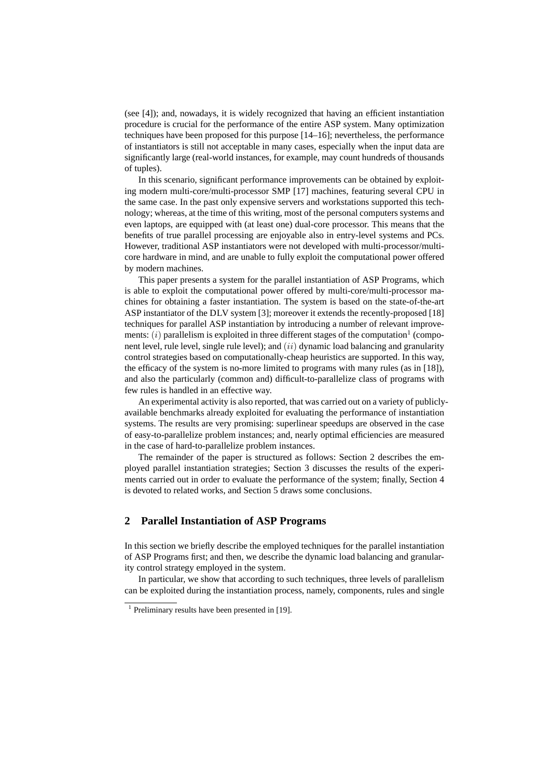(see [4]); and, nowadays, it is widely recognized that having an efficient instantiation procedure is crucial for the performance of the entire ASP system. Many optimization techniques have been proposed for this purpose [14–16]; nevertheless, the performance of instantiators is still not acceptable in many cases, especially when the input data are significantly large (real-world instances, for example, may count hundreds of thousands of tuples).

In this scenario, significant performance improvements can be obtained by exploiting modern multi-core/multi-processor SMP [17] machines, featuring several CPU in the same case. In the past only expensive servers and workstations supported this technology; whereas, at the time of this writing, most of the personal computers systems and even laptops, are equipped with (at least one) dual-core processor. This means that the benefits of true parallel processing are enjoyable also in entry-level systems and PCs. However, traditional ASP instantiators were not developed with multi-processor/multicore hardware in mind, and are unable to fully exploit the computational power offered by modern machines.

This paper presents a system for the parallel instantiation of ASP Programs, which is able to exploit the computational power offered by multi-core/multi-processor machines for obtaining a faster instantiation. The system is based on the state-of-the-art ASP instantiator of the DLV system [3]; moreover it extends the recently-proposed [18] techniques for parallel ASP instantiation by introducing a number of relevant improvements:  $(i)$  parallelism is exploited in three different stages of the computation<sup>1</sup> (component level, rule level, single rule level); and  $(ii)$  dynamic load balancing and granularity control strategies based on computationally-cheap heuristics are supported. In this way, the efficacy of the system is no-more limited to programs with many rules (as in [18]), and also the particularly (common and) difficult-to-parallelize class of programs with few rules is handled in an effective way.

An experimental activity is also reported, that was carried out on a variety of publiclyavailable benchmarks already exploited for evaluating the performance of instantiation systems. The results are very promising: superlinear speedups are observed in the case of easy-to-parallelize problem instances; and, nearly optimal efficiencies are measured in the case of hard-to-parallelize problem instances.

The remainder of the paper is structured as follows: Section 2 describes the employed parallel instantiation strategies; Section 3 discusses the results of the experiments carried out in order to evaluate the performance of the system; finally, Section 4 is devoted to related works, and Section 5 draws some conclusions.

## **2 Parallel Instantiation of ASP Programs**

In this section we briefly describe the employed techniques for the parallel instantiation of ASP Programs first; and then, we describe the dynamic load balancing and granularity control strategy employed in the system.

In particular, we show that according to such techniques, three levels of parallelism can be exploited during the instantiation process, namely, components, rules and single

<sup>&</sup>lt;sup>1</sup> Preliminary results have been presented in [19].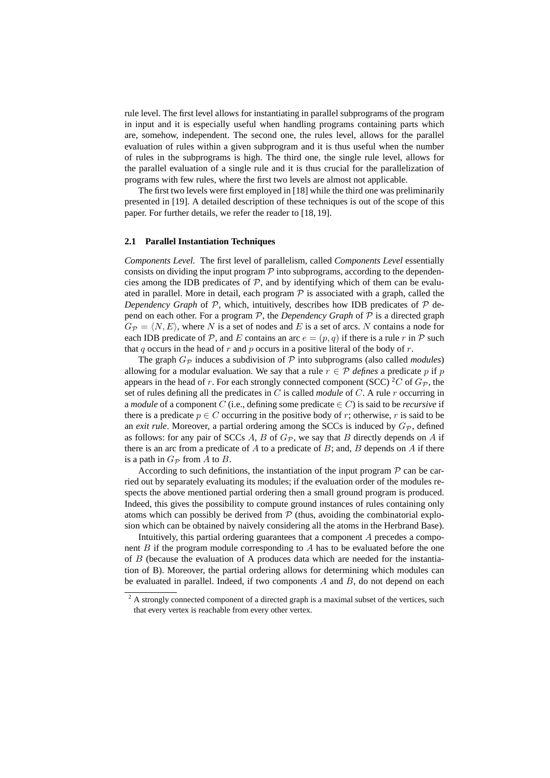rule level. The first level allows for instantiating in parallel subprograms of the program in input and it is especially useful when handling programs containing parts which are, somehow, independent. The second one, the rules level, allows for the parallel evaluation of rules within a given subprogram and it is thus useful when the number of rules in the subprograms is high. The third one, the single rule level, allows for the parallel evaluation of a single rule and it is thus crucial for the parallelization of programs with few rules, where the first two levels are almost not applicable.

The first two levels were first employed in [18] while the third one was preliminarily presented in [19]. A detailed description of these techniques is out of the scope of this paper. For further details, we refer the reader to [18, 19].

#### **2.1 Parallel Instantiation Techniques**

*Components Level.* The first level of parallelism, called *Components Level* essentially consists on dividing the input program  $\mathcal P$  into subprograms, according to the dependencies among the IDB predicates of  $P$ , and by identifying which of them can be evaluated in parallel. More in detail, each program  $P$  is associated with a graph, called the *Dependency Graph* of  $P$ , which, intuitively, describes how IDB predicates of  $P$  depend on each other. For a program  $P$ , the *Dependency Graph* of  $P$  is a directed graph  $G_{\mathcal{P}} = \langle N, E \rangle$ , where N is a set of nodes and E is a set of arcs. N contains a node for each IDB predicate of  $P$ , and E contains an arc  $e = (p, q)$  if there is a rule r in P such that q occurs in the head of  $r$  and  $p$  occurs in a positive literal of the body of  $r$ .

The graph  $G_{\mathcal{P}}$  induces a subdivision of  $\mathcal P$  into subprograms (also called *modules*) allowing for a modular evaluation. We say that a rule  $r \in \mathcal{P}$  *defines* a predicate p if p appears in the head of r. For each strongly connected component (SCC) <sup>2</sup>C of  $G_{\mathcal{P}}$ , the set of rules defining all the predicates in C is called *module* of C. A rule r occurring in a *module* of a component C (i.e., defining some predicate  $\in C$ ) is said to be *recursive* if there is a predicate  $p \in C$  occurring in the positive body of r; otherwise, r is said to be an *exit rule*. Moreover, a partial ordering among the SCCs is induced by  $G_{\mathcal{P}}$ , defined as follows: for any pair of SCCs A, B of  $G_{\mathcal{P}}$ , we say that B directly depends on A if there is an arc from a predicate of  $A$  to a predicate of  $B$ ; and,  $B$  depends on  $A$  if there is a path in  $G_{\mathcal{P}}$  from A to B.

According to such definitions, the instantiation of the input program  $\mathcal P$  can be carried out by separately evaluating its modules; if the evaluation order of the modules respects the above mentioned partial ordering then a small ground program is produced. Indeed, this gives the possibility to compute ground instances of rules containing only atoms which can possibly be derived from  $P$  (thus, avoiding the combinatorial explosion which can be obtained by naively considering all the atoms in the Herbrand Base).

Intuitively, this partial ordering guarantees that a component A precedes a component  $B$  if the program module corresponding to  $A$  has to be evaluated before the one of B (because the evaluation of A produces data which are needed for the instantiation of B). Moreover, the partial ordering allows for determining which modules can be evaluated in parallel. Indeed, if two components  $A$  and  $B$ , do not depend on each

 $2 \text{ A strongly connected component of a directed graph is a maximal subset of the vertices, such}$ that every vertex is reachable from every other vertex.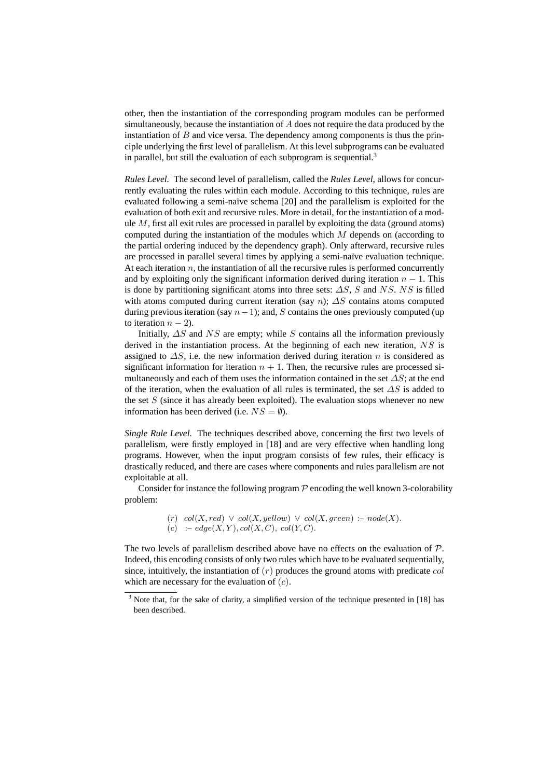other, then the instantiation of the corresponding program modules can be performed simultaneously, because the instantiation of A does not require the data produced by the instantiation of  $B$  and vice versa. The dependency among components is thus the principle underlying the first level of parallelism. At this level subprograms can be evaluated in parallel, but still the evaluation of each subprogram is sequential.<sup>3</sup>

*Rules Level.* The second level of parallelism, called the *Rules Level*, allows for concurrently evaluating the rules within each module. According to this technique, rules are evaluated following a semi-naïve schema [20] and the parallelism is exploited for the evaluation of both exit and recursive rules. More in detail, for the instantiation of a module  $M$ , first all exit rules are processed in parallel by exploiting the data (ground atoms) computed during the instantiation of the modules which  $M$  depends on (according to the partial ordering induced by the dependency graph). Only afterward, recursive rules are processed in parallel several times by applying a semi-naïve evaluation technique. At each iteration  $n$ , the instantiation of all the recursive rules is performed concurrently and by exploiting only the significant information derived during iteration  $n - 1$ . This is done by partitioning significant atoms into three sets:  $\Delta S$ , S and NS. NS is filled with atoms computed during current iteration (say n);  $\Delta S$  contains atoms computed during previous iteration (say  $n-1$ ); and, S contains the ones previously computed (up to iteration  $n - 2$ ).

Initially,  $\Delta S$  and  $NS$  are empty; while S contains all the information previously derived in the instantiation process. At the beginning of each new iteration,  $NS$  is assigned to  $\Delta S$ , i.e. the new information derived during iteration n is considered as significant information for iteration  $n + 1$ . Then, the recursive rules are processed simultaneously and each of them uses the information contained in the set  $\Delta S$ ; at the end of the iteration, when the evaluation of all rules is terminated, the set  $\Delta S$  is added to the set  $S$  (since it has already been exploited). The evaluation stops whenever no new information has been derived (i.e.  $NS = \emptyset$ ).

*Single Rule Level.* The techniques described above, concerning the first two levels of parallelism, were firstly employed in [18] and are very effective when handling long programs. However, when the input program consists of few rules, their efficacy is drastically reduced, and there are cases where components and rules parallelism are not exploitable at all.

Consider for instance the following program  $P$  encoding the well known 3-colorability problem:

> (r)  $col(X, red) \vee col(X, yellow) \vee col(X, green) := node(X).$ (c) :–  $edge(X, Y), col(X, C), col(Y, C).$

The two levels of parallelism described above have no effects on the evaluation of  $P$ . Indeed, this encoding consists of only two rules which have to be evaluated sequentially, since, intuitively, the instantiation of  $(r)$  produces the ground atoms with predicate  $col$ which are necessary for the evaluation of  $(c)$ .

<sup>&</sup>lt;sup>3</sup> Note that, for the sake of clarity, a simplified version of the technique presented in [18] has been described.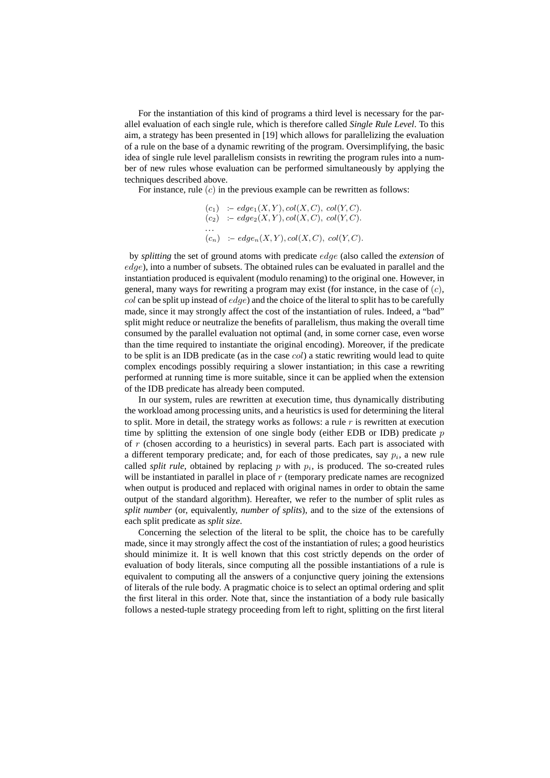For the instantiation of this kind of programs a third level is necessary for the parallel evaluation of each single rule, which is therefore called *Single Rule Level*. To this aim, a strategy has been presented in [19] which allows for parallelizing the evaluation of a rule on the base of a dynamic rewriting of the program. Oversimplifying, the basic idea of single rule level parallelism consists in rewriting the program rules into a number of new rules whose evaluation can be performed simultaneously by applying the techniques described above.

For instance, rule  $(c)$  in the previous example can be rewritten as follows:

$$
(c_1) := edge_1(X, Y), col(X, C), col(Y, C).
$$
  
\n
$$
(c_2) := edge_2(X, Y), col(X, C), col(Y, C).
$$
  
\n...  
\n
$$
(c_n) := edge_n(X, Y), col(X, C), col(Y, C).
$$

by *splitting* the set of ground atoms with predicate edge (also called the *extension* of  $edge$ ), into a number of subsets. The obtained rules can be evaluated in parallel and the instantiation produced is equivalent (modulo renaming) to the original one. However, in general, many ways for rewriting a program may exist (for instance, in the case of  $(c)$ , col can be split up instead of  $edge$ ) and the choice of the literal to split has to be carefully made, since it may strongly affect the cost of the instantiation of rules. Indeed, a "bad" split might reduce or neutralize the benefits of parallelism, thus making the overall time consumed by the parallel evaluation not optimal (and, in some corner case, even worse than the time required to instantiate the original encoding). Moreover, if the predicate to be split is an IDB predicate (as in the case  $col$ ) a static rewriting would lead to quite complex encodings possibly requiring a slower instantiation; in this case a rewriting performed at running time is more suitable, since it can be applied when the extension of the IDB predicate has already been computed.

In our system, rules are rewritten at execution time, thus dynamically distributing the workload among processing units, and a heuristics is used for determining the literal to split. More in detail, the strategy works as follows: a rule  $r$  is rewritten at execution time by splitting the extension of one single body (either EDB or IDB) predicate  $p$ of  $r$  (chosen according to a heuristics) in several parts. Each part is associated with a different temporary predicate; and, for each of those predicates, say  $p_i$ , a new rule called *split rule*, obtained by replacing  $p$  with  $p_i$ , is produced. The so-created rules will be instantiated in parallel in place of  $r$  (temporary predicate names are recognized when output is produced and replaced with original names in order to obtain the same output of the standard algorithm). Hereafter, we refer to the number of split rules as *split number* (or, equivalently, *number of splits*), and to the size of the extensions of each split predicate as *split size*.

Concerning the selection of the literal to be split, the choice has to be carefully made, since it may strongly affect the cost of the instantiation of rules; a good heuristics should minimize it. It is well known that this cost strictly depends on the order of evaluation of body literals, since computing all the possible instantiations of a rule is equivalent to computing all the answers of a conjunctive query joining the extensions of literals of the rule body. A pragmatic choice is to select an optimal ordering and split the first literal in this order. Note that, since the instantiation of a body rule basically follows a nested-tuple strategy proceeding from left to right, splitting on the first literal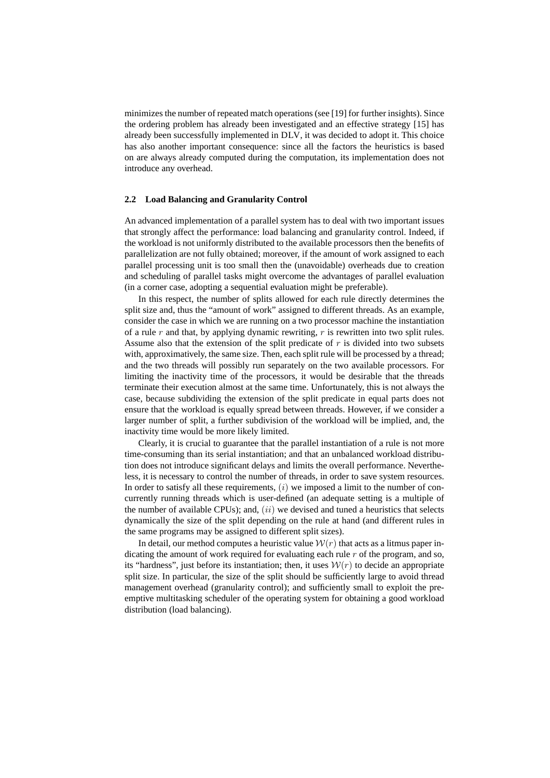minimizes the number of repeated match operations (see [19] for further insights). Since the ordering problem has already been investigated and an effective strategy [15] has already been successfully implemented in DLV, it was decided to adopt it. This choice has also another important consequence: since all the factors the heuristics is based on are always already computed during the computation, its implementation does not introduce any overhead.

#### **2.2 Load Balancing and Granularity Control**

An advanced implementation of a parallel system has to deal with two important issues that strongly affect the performance: load balancing and granularity control. Indeed, if the workload is not uniformly distributed to the available processors then the benefits of parallelization are not fully obtained; moreover, if the amount of work assigned to each parallel processing unit is too small then the (unavoidable) overheads due to creation and scheduling of parallel tasks might overcome the advantages of parallel evaluation (in a corner case, adopting a sequential evaluation might be preferable).

In this respect, the number of splits allowed for each rule directly determines the split size and, thus the "amount of work" assigned to different threads. As an example, consider the case in which we are running on a two processor machine the instantiation of a rule r and that, by applying dynamic rewriting, r is rewritten into two split rules. Assume also that the extension of the split predicate of  $r$  is divided into two subsets with, approximatively, the same size. Then, each split rule will be processed by a thread; and the two threads will possibly run separately on the two available processors. For limiting the inactivity time of the processors, it would be desirable that the threads terminate their execution almost at the same time. Unfortunately, this is not always the case, because subdividing the extension of the split predicate in equal parts does not ensure that the workload is equally spread between threads. However, if we consider a larger number of split, a further subdivision of the workload will be implied, and, the inactivity time would be more likely limited.

Clearly, it is crucial to guarantee that the parallel instantiation of a rule is not more time-consuming than its serial instantiation; and that an unbalanced workload distribution does not introduce significant delays and limits the overall performance. Nevertheless, it is necessary to control the number of threads, in order to save system resources. In order to satisfy all these requirements,  $(i)$  we imposed a limit to the number of concurrently running threads which is user-defined (an adequate setting is a multiple of the number of available CPUs); and,  $(ii)$  we devised and tuned a heuristics that selects dynamically the size of the split depending on the rule at hand (and different rules in the same programs may be assigned to different split sizes).

In detail, our method computes a heuristic value  $W(r)$  that acts as a litmus paper indicating the amount of work required for evaluating each rule  $r$  of the program, and so, its "hardness", just before its instantiation; then, it uses  $W(r)$  to decide an appropriate split size. In particular, the size of the split should be sufficiently large to avoid thread management overhead (granularity control); and sufficiently small to exploit the preemptive multitasking scheduler of the operating system for obtaining a good workload distribution (load balancing).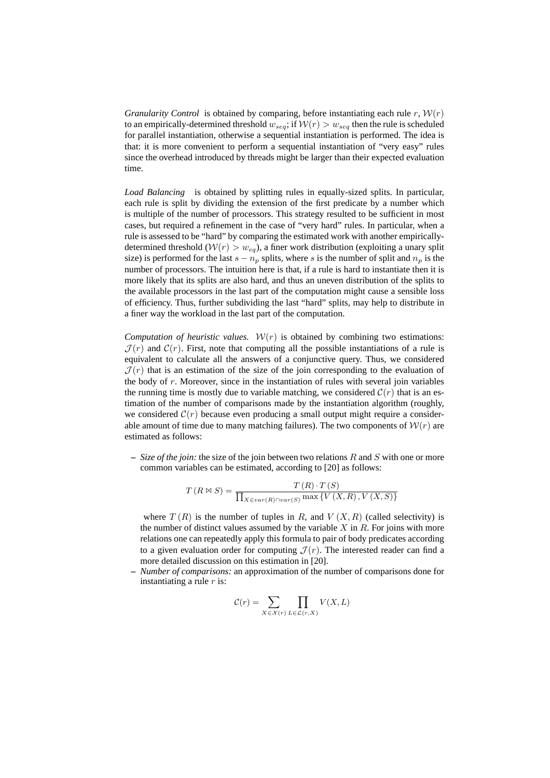*Granularity Control* is obtained by comparing, before instantiating each rule r,  $W(r)$ to an empirically-determined threshold  $w_{seq}$ ; if  $W(r) > w_{seq}$  then the rule is scheduled for parallel instantiation, otherwise a sequential instantiation is performed. The idea is that: it is more convenient to perform a sequential instantiation of "very easy" rules since the overhead introduced by threads might be larger than their expected evaluation time.

*Load Balancing* is obtained by splitting rules in equally-sized splits. In particular, each rule is split by dividing the extension of the first predicate by a number which is multiple of the number of processors. This strategy resulted to be sufficient in most cases, but required a refinement in the case of "very hard" rules. In particular, when a rule is assessed to be "hard" by comparing the estimated work with another empiricallydetermined threshold  $(W(r) > w_{eq})$ , a finer work distribution (exploiting a unary split size) is performed for the last  $s - n_p$  splits, where s is the number of split and  $n_p$  is the number of processors. The intuition here is that, if a rule is hard to instantiate then it is more likely that its splits are also hard, and thus an uneven distribution of the splits to the available processors in the last part of the computation might cause a sensible loss of efficiency. Thus, further subdividing the last "hard" splits, may help to distribute in a finer way the workload in the last part of the computation.

*Computation of heuristic values.*  $W(r)$  is obtained by combining two estimations:  $\mathcal{J}(r)$  and  $\mathcal{C}(r)$ . First, note that computing all the possible instantiations of a rule is equivalent to calculate all the answers of a conjunctive query. Thus, we considered  $J(r)$  that is an estimation of the size of the join corresponding to the evaluation of the body of  $r$ . Moreover, since in the instantiation of rules with several join variables the running time is mostly due to variable matching, we considered  $C(r)$  that is an estimation of the number of comparisons made by the instantiation algorithm (roughly, we considered  $\mathcal{C}(r)$  because even producing a small output might require a considerable amount of time due to many matching failures). The two components of  $W(r)$  are estimated as follows:

**–** *Size of the join:* the size of the join between two relations R and S with one or more common variables can be estimated, according to [20] as follows:

$$
T(R \bowtie S) = \frac{T(R) \cdot T(S)}{\prod_{X \in var(R) \cap var(S)} \max \{V(X, R), V(X, S)\}}
$$

where  $T(R)$  is the number of tuples in R, and  $V(X, R)$  (called selectivity) is the number of distinct values assumed by the variable  $X$  in  $R$ . For joins with more relations one can repeatedly apply this formula to pair of body predicates according to a given evaluation order for computing  $\mathcal{J}(r)$ . The interested reader can find a more detailed discussion on this estimation in [20].

**–** *Number of comparisons:* an approximation of the number of comparisons done for instantiating a rule  $r$  is:

$$
\mathcal{C}(r) = \sum_{X \in \mathcal{X}(r)} \prod_{L \in \mathcal{L}(r,X)} V(X,L)
$$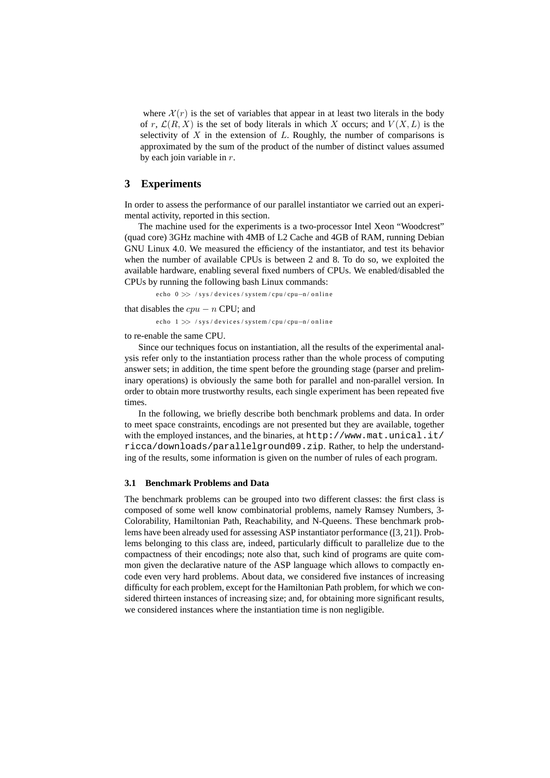where  $\mathcal{X}(r)$  is the set of variables that appear in at least two literals in the body of r,  $\mathcal{L}(R, X)$  is the set of body literals in which X occurs; and  $V(X, L)$  is the selectivity of  $X$  in the extension of  $L$ . Roughly, the number of comparisons is approximated by the sum of the product of the number of distinct values assumed by each join variable in r.

### **3 Experiments**

In order to assess the performance of our parallel instantiator we carried out an experimental activity, reported in this section.

The machine used for the experiments is a two-processor Intel Xeon "Woodcrest" (quad core) 3GHz machine with 4MB of L2 Cache and 4GB of RAM, running Debian GNU Linux 4.0. We measured the efficiency of the instantiator, and test its behavior when the number of available CPUs is between 2 and 8. To do so, we exploited the available hardware, enabling several fixed numbers of CPUs. We enabled/disabled the CPUs by running the following bash Linux commands:

echo 0 >> / sys/devices/system/cpu/cpu-n/online

that disables the  $cpu - n$  CPU; and

echo  $1 \gg$  / sys/devices/system/cpu/cpu-n/online

to re-enable the same CPU.

Since our techniques focus on instantiation, all the results of the experimental analysis refer only to the instantiation process rather than the whole process of computing answer sets; in addition, the time spent before the grounding stage (parser and preliminary operations) is obviously the same both for parallel and non-parallel version. In order to obtain more trustworthy results, each single experiment has been repeated five times.

In the following, we briefly describe both benchmark problems and data. In order to meet space constraints, encodings are not presented but they are available, together with the employed instances, and the binaries, at  $http://www.math.cal.it/$ ricca/downloads/parallelground09.zip. Rather, to help the understanding of the results, some information is given on the number of rules of each program.

#### **3.1 Benchmark Problems and Data**

The benchmark problems can be grouped into two different classes: the first class is composed of some well know combinatorial problems, namely Ramsey Numbers, 3- Colorability, Hamiltonian Path, Reachability, and N-Queens. These benchmark problems have been already used for assessing ASP instantiator performance ([3, 21]). Problems belonging to this class are, indeed, particularly difficult to parallelize due to the compactness of their encodings; note also that, such kind of programs are quite common given the declarative nature of the ASP language which allows to compactly encode even very hard problems. About data, we considered five instances of increasing difficulty for each problem, except for the Hamiltonian Path problem, for which we considered thirteen instances of increasing size; and, for obtaining more significant results, we considered instances where the instantiation time is non negligible.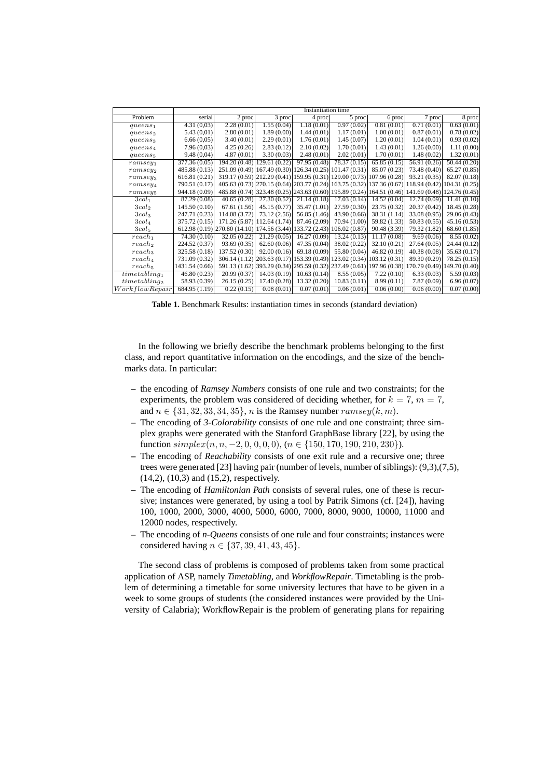|                           | Instantiation time |                                            |                                                         |                          |                             |                                                                                                   |              |                             |  |  |
|---------------------------|--------------------|--------------------------------------------|---------------------------------------------------------|--------------------------|-----------------------------|---------------------------------------------------------------------------------------------------|--------------|-----------------------------|--|--|
| Problem                   | serial             | 2 proc                                     | $\overline{3}$ proc                                     | 4 proc                   | $\overline{5}$ proc         | 6 proc                                                                                            | 7 proc       | 8 proc                      |  |  |
| queens <sub>1</sub>       | 4.31(0,03)         | 2.28(0.01)                                 | 1.55(0.04)                                              | 1.18(0.01)               | 0.97(0.02)                  | 0.81(0.01)                                                                                        | 0.71(0.01)   | 0.63(0.01)                  |  |  |
| queens <sub>2</sub>       | 5.43(0,01)         | 2.80(0.01)                                 | 1.89(0.00)                                              | 1.44(0.01)               | 1.17(0.01)                  | 1.00(0.01)                                                                                        | 0.87(0.01)   | 0.78(0.02)                  |  |  |
| queens <sub>3</sub>       | 6.66(0,05)         | 3.40(0.01)                                 | 2.29(0.01)                                              | 1.76(0.01)               | 1.45(0.07)                  | 1.20(0.01)                                                                                        | 1.04(0.01)   | 0.93(0.02)                  |  |  |
| queens <sub>4</sub>       | 7.96(0,03)         | 4.25(0.26)                                 | 2.83(0.12)                                              | 2.10(0.02)               | 1.70(0.01)                  | 1.43(0.01)                                                                                        | 1.26(0.00)   | 1.11(0.00)                  |  |  |
| queens <sub>5</sub>       | 9.48(0,04)         | 4.87(0.01)                                 | 3.30(0.03)                                              | 2.48(0.01)               | 2.02(0.01)                  | 1.70(0.01)                                                                                        | 1.48(0.02)   | 1.32(0.01)                  |  |  |
| $ramesey_1$               | 377.36 (0.05)      |                                            | 194.20 (0.48) 129.61 (0.22)                             | 97.95 (0.48)             | 78.37(0.15)                 | 65.85(0.15)                                                                                       | 56.91 (0.26) | 50.44(0.20)                 |  |  |
| $\,ramesey_2$             | 485.88 (0.13)      |                                            | 251.09 (0.49) 167.49 (0.30) 126.34 (0.25) 101.47 (0.31) |                          |                             | 85.07 (0.23)                                                                                      | 73.48 (0.40) | 65.27(0.85)                 |  |  |
| $\,ramesey_3$             | 616.81(0.21)       |                                            |                                                         |                          |                             | 319.17 (0.59) 212.29 (0.41) 159.95 (0.31) 129.00 (0.73) 107.96 (0.28)                             | 93.21 (0.35) | 82.07 (0.18)                |  |  |
| $\,ramesey_4$             | 790.51 (0.17)      |                                            |                                                         |                          |                             | 405.63 (0.73) [270.15 (0.64) [203.77 (0.24) [163.75 (0.32) [137.36 (0.67) [118.94 (0.42)]         |              | 104.31(0.25)                |  |  |
| $ramesey_5$               | 944.18 (0.09)      |                                            |                                                         |                          |                             | 485.88 (0.74) 323.48 (0.25) 243.63 (0.60) 195.89 (0.24) 164.51 (0.46) 141.69 (0.48) 124.76 (0.45) |              |                             |  |  |
| 3col <sub>1</sub>         | 87.29(0.08)        | 40.65(0.28)                                | $\overline{27.30} (0.52)$                               | 21.14(0.18)              | 17.03(0.14)                 | 14.52(0.04)                                                                                       | 12.74(0.09)  | 11.41(0.10)                 |  |  |
| 3col <sub>2</sub>         | 145.50(0.10)       | 67.61(1.56)                                | 45.15(0.77)                                             | 35.47 (1.01)             | 27.59 (0.30)                | 23.75 (0.32)                                                                                      | 20.37(0.42)  | 18.45(0.28)                 |  |  |
| 3col <sub>3</sub>         | 247.71 (0.23)      | 114.08 (3.72)                              | 73.12 (2.56)                                            | 56.85 (1.46)             | 43.90 $(0.66)$              | 38.31(1.14)                                                                                       | 33.08 (0.95) | 29.06(0.43)                 |  |  |
| 3col <sub>4</sub>         | 375.72 (0.15)      |                                            | 171.26 (5.87) 112.64 (1.74)                             | 87.46 (2.09)             | 70.94 (1.00)                | 59.82 (1.33)                                                                                      | 50.83(0.55)  | 45.16(0.53)                 |  |  |
| 3col <sub>5</sub>         |                    | 612.98 (0.19) 270.80 (14.10) 174.56 (3.44) |                                                         |                          | 133.72 (2.43) 106.02 (0.87) | 90.48 (3.39)                                                                                      | 79.32 (1.82) | 68.60 (1.85)                |  |  |
| $reach_1$                 | 74.30 (0.10)       | 32.05 (0.22)                               | 21.29(0.05)                                             | 16.27(0.09)              | 13.24(0.13)                 | 11.17(0.08)                                                                                       | 9.69(0.06)   | 8.55(0.02)                  |  |  |
| reach <sub>2</sub>        | 224.52 (0.37)      | 93.69 (0.35)                               | 62.60(0.06)                                             | 47.35 (0.04)             | 38.02 (0.22)                | 32.10 (0.21)                                                                                      | 27.64(0.05)  | 24.44(0.12)                 |  |  |
| reach <sub>3</sub>        | 325.58 (0.18)      | 137.52 (0.30)                              | 92.00(0.16)                                             | 69.18 (0.09)             | 55.80 (0.04)                | 46.82 (0.19)                                                                                      | 40.38 (0.08) | 35.63(0.17)                 |  |  |
| reach <sub>4</sub>        | 731.09 (0.32)      | 306.14 (1.12)                              | 203.63(0.17)                                            |                          |                             | 153.39 (0.49) 123.02 (0.34) 103.12 (0.31)                                                         | 89.30 (0.29) | 78.25(0.15)                 |  |  |
| reach <sub>5</sub>        | 1431.54 (0.66)     |                                            |                                                         |                          |                             | 591.13 (1.62) 393.29 (0.34) 295.59 (0.32) 237.49 (0.61) 197.96 (0.38)                             |              | 170.79 (0.49) 149.70 (0.40) |  |  |
| time tabling <sub>1</sub> | 46.80(0.23)        | 20.99(0.37)                                | 14.03(0.19)                                             | 10.63(0.14)              | 8.55(0.05)                  | 7.22(0.10)                                                                                        | 6.33(0.03)   | 5.59(0.03)                  |  |  |
| time tabling <sub>2</sub> | 58.93 (0.39)       | 26.15(0.25)                                | 17.40(0.28)                                             | 13.32 (0.20)             | 10.83(0.11)                 | 8.99(0.11)                                                                                        | 7.87(0.09)   | 6.96(0.07)                  |  |  |
| Workflow Repair           | 684.95 (1.19)      | 0.22(0.15)                                 | 0.08(0.01)                                              | $\overline{0.07}$ (0.01) | 0.06(0.01)                  | $\overline{0.06} (0.00)$                                                                          | 0.06(0.00)   | 0.07(0.00)                  |  |  |

**Table 1.** Benchmark Results: instantiation times in seconds (standard deviation)

In the following we briefly describe the benchmark problems belonging to the first class, and report quantitative information on the encodings, and the size of the benchmarks data. In particular:

- **–** the encoding of *Ramsey Numbers* consists of one rule and two constraints; for the experiments, the problem was considered of deciding whether, for  $k = 7$ ,  $m = 7$ , and  $n \in \{31, 32, 33, 34, 35\}$ , n is the Ramsey number  $\text{range}(k, m)$ .
- **–** The encoding of *3-Colorability* consists of one rule and one constraint; three simplex graphs were generated with the Stanford GraphBase library [22], by using the function  $simplex(n, n, -2, 0, 0, 0, 0), (n \in \{150, 170, 190, 210, 230\}).$
- **–** The encoding of *Reachability* consists of one exit rule and a recursive one; three trees were generated [23] having pair (number of levels, number of siblings): (9,3),(7,5), (14,2), (10,3) and (15,2), respectively.
- **–** The encoding of *Hamiltonian Path* consists of several rules, one of these is recursive; instances were generated, by using a tool by Patrik Simons (cf. [24]), having 100, 1000, 2000, 3000, 4000, 5000, 6000, 7000, 8000, 9000, 10000, 11000 and 12000 nodes, respectively.
- **–** The encoding of *n-Queens* consists of one rule and four constraints; instances were considered having  $n \in \{37, 39, 41, 43, 45\}.$

The second class of problems is composed of problems taken from some practical application of ASP, namely *Timetabling*, and *WorkflowRepair*. Timetabling is the problem of determining a timetable for some university lectures that have to be given in a week to some groups of students (the considered instances were provided by the University of Calabria); WorkflowRepair is the problem of generating plans for repairing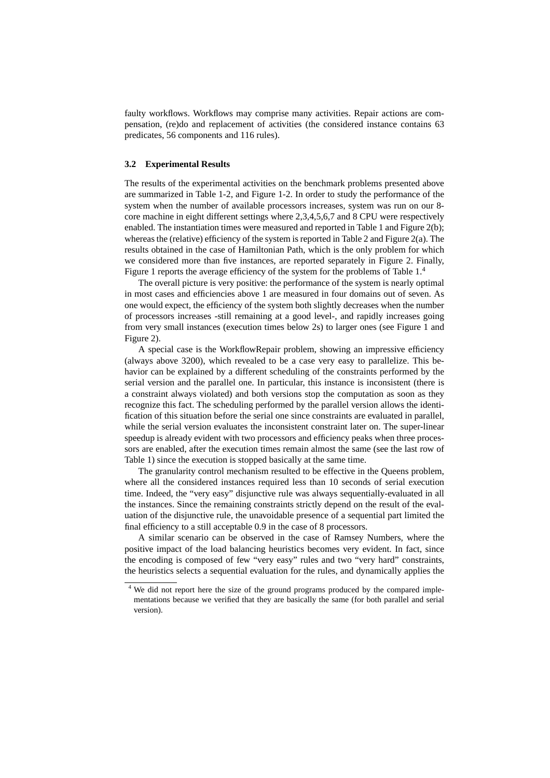faulty workflows. Workflows may comprise many activities. Repair actions are compensation, (re)do and replacement of activities (the considered instance contains 63 predicates, 56 components and 116 rules).

#### **3.2 Experimental Results**

The results of the experimental activities on the benchmark problems presented above are summarized in Table 1-2, and Figure 1-2. In order to study the performance of the system when the number of available processors increases, system was run on our 8 core machine in eight different settings where 2,3,4,5,6,7 and 8 CPU were respectively enabled. The instantiation times were measured and reported in Table 1 and Figure 2(b); whereas the (relative) efficiency of the system is reported in Table 2 and Figure 2(a). The results obtained in the case of Hamiltonian Path, which is the only problem for which we considered more than five instances, are reported separately in Figure 2. Finally, Figure 1 reports the average efficiency of the system for the problems of Table 1.<sup>4</sup>

The overall picture is very positive: the performance of the system is nearly optimal in most cases and efficiencies above 1 are measured in four domains out of seven. As one would expect, the efficiency of the system both slightly decreases when the number of processors increases -still remaining at a good level-, and rapidly increases going from very small instances (execution times below 2s) to larger ones (see Figure 1 and Figure 2).

A special case is the WorkflowRepair problem, showing an impressive efficiency (always above 3200), which revealed to be a case very easy to parallelize. This behavior can be explained by a different scheduling of the constraints performed by the serial version and the parallel one. In particular, this instance is inconsistent (there is a constraint always violated) and both versions stop the computation as soon as they recognize this fact. The scheduling performed by the parallel version allows the identification of this situation before the serial one since constraints are evaluated in parallel, while the serial version evaluates the inconsistent constraint later on. The super-linear speedup is already evident with two processors and efficiency peaks when three processors are enabled, after the execution times remain almost the same (see the last row of Table 1) since the execution is stopped basically at the same time.

The granularity control mechanism resulted to be effective in the Queens problem, where all the considered instances required less than 10 seconds of serial execution time. Indeed, the "very easy" disjunctive rule was always sequentially-evaluated in all the instances. Since the remaining constraints strictly depend on the result of the evaluation of the disjunctive rule, the unavoidable presence of a sequential part limited the final efficiency to a still acceptable 0.9 in the case of 8 processors.

A similar scenario can be observed in the case of Ramsey Numbers, where the positive impact of the load balancing heuristics becomes very evident. In fact, since the encoding is composed of few "very easy" rules and two "very hard" constraints, the heuristics selects a sequential evaluation for the rules, and dynamically applies the

<sup>&</sup>lt;sup>4</sup> We did not report here the size of the ground programs produced by the compared implementations because we verified that they are basically the same (for both parallel and serial version).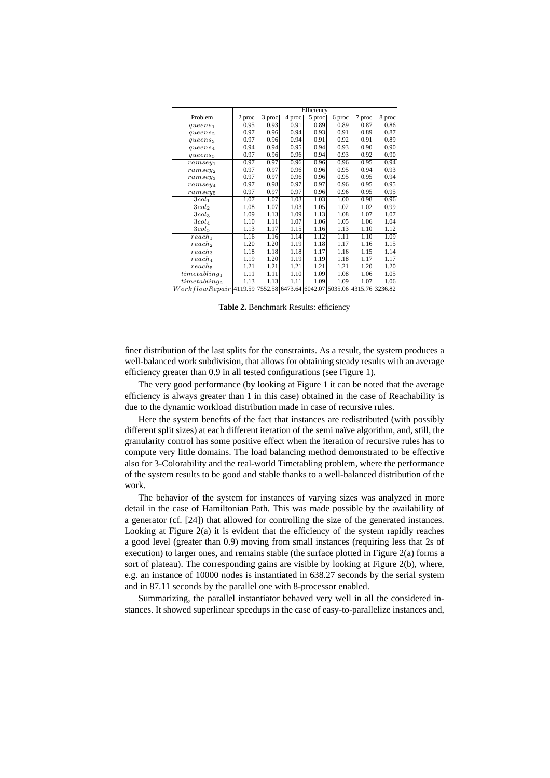|                           | Efficiency                      |                     |                             |                     |                         |           |        |  |
|---------------------------|---------------------------------|---------------------|-----------------------------|---------------------|-------------------------|-----------|--------|--|
| Problem                   | $2$ proc                        | $\overline{3}$ proc | $\overline{4 \text{ proc}}$ | $\overline{5}$ proc | 6 proc                  | 7<br>proc | 8 proc |  |
| queens <sub>1</sub>       | 0.95                            | 0.93                | 0.91                        | 0.89                | 0.89                    | 0.87      | 0.86   |  |
| queens <sub>2</sub>       | 0.97                            | 0.96                | 0.94                        | 0.93                | 0.91                    | 0.89      | 0.87   |  |
| queens <sub>3</sub>       | 0.97                            | 0.96                | 0.94                        | 0.91                | 0.92                    | 0.91      | 0.89   |  |
| queens <sub>4</sub>       | 0.94                            | 0.94                | 0.95                        | 0.94                | 0.93                    | 0.90      | 0.90   |  |
| queens <sub>5</sub>       | 0.97                            | 0.96                | 0.96                        | 0.94                | 0.93                    | 0.92      | 0.90   |  |
| $\n  ramsey1\n$           | 0.97                            | 0.97                | 0.96                        | 0.96                | 0.96                    | 0.95      | 0.94   |  |
| $\n  ramsey2\n$           | 0.97                            | 0.97                | 0.96                        | 0.96                | 0.95                    | 0.94      | 0.93   |  |
| $\n  ramseys\n$           | 0.97                            | 0.97                | 0.96                        | 0.96                | 0.95                    | 0.95      | 0.94   |  |
| $\n  ramsey4\n$           | 0.97                            | 0.98                | 0.97                        | 0.97                | 0.96                    | 0.95      | 0.95   |  |
| $ramesey_5$               | 0.97                            | 0.97                | 0.97                        | 0.96                | 0.96                    | 0.95      | 0.95   |  |
| 3col <sub>1</sub>         | 1.07                            | 1.07                | 1.03                        | 1.03                | 1.00                    | 0.98      | 0.96   |  |
| 3col <sub>2</sub>         | 1.08                            | 1.07                | 1.03                        | 1.05                | 1.02                    | 1.02      | 0.99   |  |
| 3col <sub>3</sub>         | 1.09                            | 1.13                | 1.09                        | 1.13                | 1.08                    | 1.07      | 1.07   |  |
| 3col <sub>4</sub>         | 1.10                            | 1.11                | 1.07                        | 1.06                | 1.05                    | 1.06      | 1.04   |  |
| 3col <sub>5</sub>         | 1.13                            | 1.17                | 1.15                        | 1.16                | 1.13                    | 1.10      | 1.12   |  |
| $reach_1$                 | 1.16                            | 1.16                | 1.14                        | 1.12                | 1.11                    | 1.10      | 1.09   |  |
| reach <sub>2</sub>        | 1.20                            | 1.20                | 1.19                        | 1.18                | 1.17                    | 1.16      | 1.15   |  |
| reach <sub>3</sub>        | 1.18                            | 1.18                | 1.18                        | 1.17                | 1.16                    | 1.15      | 1.14   |  |
| reach <sub>4</sub>        | 1.19                            | 1.20                | 1.19                        | 1.19                | 1.18                    | 1.17      | 1.17   |  |
| reach <sub>5</sub>        | 1.21                            | 1.21                | 1.21                        | 1.21                | 1.21                    | 1.20      | 1.20   |  |
| $time tabling_1$          | 1.11                            | 1.11                | 1.10                        | 1.09                | 1.08                    | 1.06      | 1.05   |  |
| time tabling <sub>2</sub> | 1.13                            | 1.13                | 1.11                        | 1.09                | 1.09                    | 1.07      | 1.06   |  |
| WorkflowRepair            | 4119.59 7552.58 6473.64 6042.07 |                     |                             |                     | 5035.06 4315.76 3236.82 |           |        |  |

**Table 2.** Benchmark Results: efficiency

finer distribution of the last splits for the constraints. As a result, the system produces a well-balanced work subdivision, that allows for obtaining steady results with an average efficiency greater than 0.9 in all tested configurations (see Figure 1).

The very good performance (by looking at Figure 1 it can be noted that the average efficiency is always greater than 1 in this case) obtained in the case of Reachability is due to the dynamic workload distribution made in case of recursive rules.

Here the system benefits of the fact that instances are redistributed (with possibly different split sizes) at each different iteration of the semi naïve algorithm, and, still, the granularity control has some positive effect when the iteration of recursive rules has to compute very little domains. The load balancing method demonstrated to be effective also for 3-Colorability and the real-world Timetabling problem, where the performance of the system results to be good and stable thanks to a well-balanced distribution of the work.

The behavior of the system for instances of varying sizes was analyzed in more detail in the case of Hamiltonian Path. This was made possible by the availability of a generator (cf. [24]) that allowed for controlling the size of the generated instances. Looking at Figure 2(a) it is evident that the efficiency of the system rapidly reaches a good level (greater than 0.9) moving from small instances (requiring less that 2s of execution) to larger ones, and remains stable (the surface plotted in Figure 2(a) forms a sort of plateau). The corresponding gains are visible by looking at Figure 2(b), where, e.g. an instance of 10000 nodes is instantiated in 638.27 seconds by the serial system and in 87.11 seconds by the parallel one with 8-processor enabled.

Summarizing, the parallel instantiator behaved very well in all the considered instances. It showed superlinear speedups in the case of easy-to-parallelize instances and,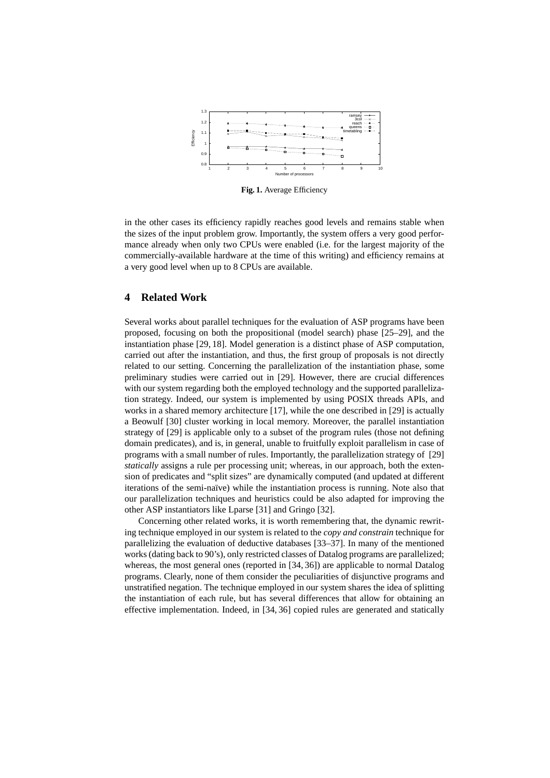

**Fig. 1.** Average Efficiency

in the other cases its efficiency rapidly reaches good levels and remains stable when the sizes of the input problem grow. Importantly, the system offers a very good performance already when only two CPUs were enabled (i.e. for the largest majority of the commercially-available hardware at the time of this writing) and efficiency remains at a very good level when up to 8 CPUs are available.

# **4 Related Work**

Several works about parallel techniques for the evaluation of ASP programs have been proposed, focusing on both the propositional (model search) phase [25–29], and the instantiation phase [29, 18]. Model generation is a distinct phase of ASP computation, carried out after the instantiation, and thus, the first group of proposals is not directly related to our setting. Concerning the parallelization of the instantiation phase, some preliminary studies were carried out in [29]. However, there are crucial differences with our system regarding both the employed technology and the supported parallelization strategy. Indeed, our system is implemented by using POSIX threads APIs, and works in a shared memory architecture [17], while the one described in [29] is actually a Beowulf [30] cluster working in local memory. Moreover, the parallel instantiation strategy of [29] is applicable only to a subset of the program rules (those not defining domain predicates), and is, in general, unable to fruitfully exploit parallelism in case of programs with a small number of rules. Importantly, the parallelization strategy of [29] *statically* assigns a rule per processing unit; whereas, in our approach, both the extension of predicates and "split sizes" are dynamically computed (and updated at different iterations of the semi-naïve) while the instantiation process is running. Note also that our parallelization techniques and heuristics could be also adapted for improving the other ASP instantiators like Lparse [31] and Gringo [32].

Concerning other related works, it is worth remembering that, the dynamic rewriting technique employed in our system is related to the *copy and constrain* technique for parallelizing the evaluation of deductive databases [33–37]. In many of the mentioned works (dating back to 90's), only restricted classes of Datalog programs are parallelized; whereas, the most general ones (reported in [34, 36]) are applicable to normal Datalog programs. Clearly, none of them consider the peculiarities of disjunctive programs and unstratified negation. The technique employed in our system shares the idea of splitting the instantiation of each rule, but has several differences that allow for obtaining an effective implementation. Indeed, in [34, 36] copied rules are generated and statically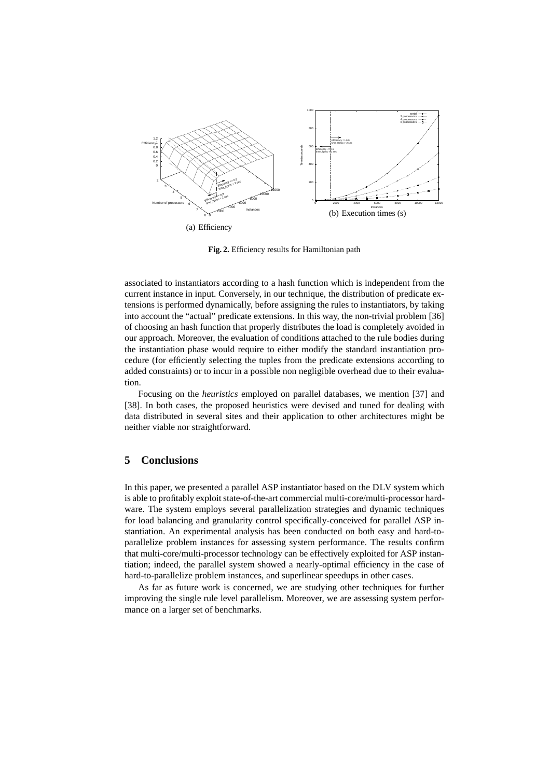

**Fig. 2.** Efficiency results for Hamiltonian path

associated to instantiators according to a hash function which is independent from the current instance in input. Conversely, in our technique, the distribution of predicate extensions is performed dynamically, before assigning the rules to instantiators, by taking into account the "actual" predicate extensions. In this way, the non-trivial problem [36] of choosing an hash function that properly distributes the load is completely avoided in our approach. Moreover, the evaluation of conditions attached to the rule bodies during the instantiation phase would require to either modify the standard instantiation procedure (for efficiently selecting the tuples from the predicate extensions according to added constraints) or to incur in a possible non negligible overhead due to their evaluation.

Focusing on the *heuristics* employed on parallel databases, we mention [37] and [38]. In both cases, the proposed heuristics were devised and tuned for dealing with data distributed in several sites and their application to other architectures might be neither viable nor straightforward.

# **5 Conclusions**

In this paper, we presented a parallel ASP instantiator based on the DLV system which is able to profitably exploit state-of-the-art commercial multi-core/multi-processor hardware. The system employs several parallelization strategies and dynamic techniques for load balancing and granularity control specifically-conceived for parallel ASP instantiation. An experimental analysis has been conducted on both easy and hard-toparallelize problem instances for assessing system performance. The results confirm that multi-core/multi-processor technology can be effectively exploited for ASP instantiation; indeed, the parallel system showed a nearly-optimal efficiency in the case of hard-to-parallelize problem instances, and superlinear speedups in other cases.

As far as future work is concerned, we are studying other techniques for further improving the single rule level parallelism. Moreover, we are assessing system performance on a larger set of benchmarks.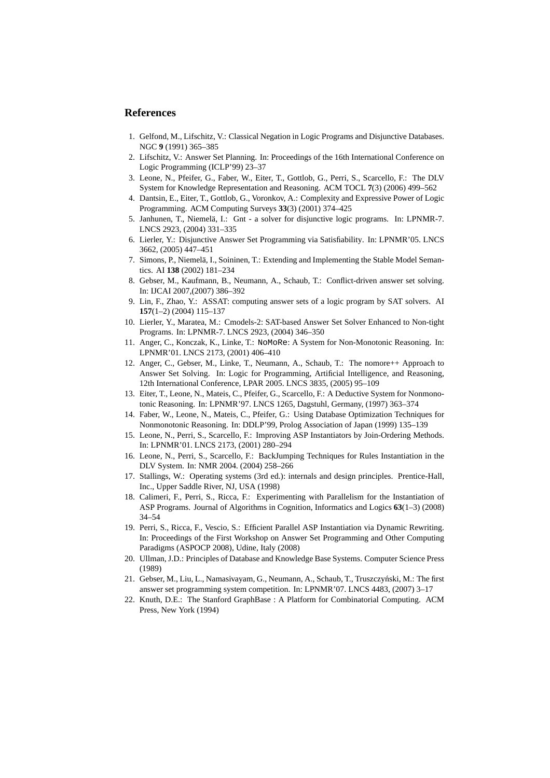## **References**

- 1. Gelfond, M., Lifschitz, V.: Classical Negation in Logic Programs and Disjunctive Databases. NGC **9** (1991) 365–385
- 2. Lifschitz, V.: Answer Set Planning. In: Proceedings of the 16th International Conference on Logic Programming (ICLP'99) 23–37
- 3. Leone, N., Pfeifer, G., Faber, W., Eiter, T., Gottlob, G., Perri, S., Scarcello, F.: The DLV System for Knowledge Representation and Reasoning. ACM TOCL **7**(3) (2006) 499–562
- 4. Dantsin, E., Eiter, T., Gottlob, G., Voronkov, A.: Complexity and Expressive Power of Logic Programming. ACM Computing Surveys **33**(3) (2001) 374–425
- 5. Janhunen, T., Niemelä, I.: Gnt a solver for disjunctive logic programs. In: LPNMR-7. LNCS 2923, (2004) 331–335
- 6. Lierler, Y.: Disjunctive Answer Set Programming via Satisfiability. In: LPNMR'05. LNCS 3662, (2005) 447–451
- 7. Simons, P., Niemelä, I., Soininen, T.: Extending and Implementing the Stable Model Semantics. AI **138** (2002) 181–234
- 8. Gebser, M., Kaufmann, B., Neumann, A., Schaub, T.: Conflict-driven answer set solving. In: IJCAI 2007,(2007) 386–392
- 9. Lin, F., Zhao, Y.: ASSAT: computing answer sets of a logic program by SAT solvers. AI **157**(1–2) (2004) 115–137
- 10. Lierler, Y., Maratea, M.: Cmodels-2: SAT-based Answer Set Solver Enhanced to Non-tight Programs. In: LPNMR-7. LNCS 2923, (2004) 346–350
- 11. Anger, C., Konczak, K., Linke, T.: NoMoRe: A System for Non-Monotonic Reasoning. In: LPNMR'01. LNCS 2173, (2001) 406–410
- 12. Anger, C., Gebser, M., Linke, T., Neumann, A., Schaub, T.: The nomore++ Approach to Answer Set Solving. In: Logic for Programming, Artificial Intelligence, and Reasoning, 12th International Conference, LPAR 2005. LNCS 3835, (2005) 95–109
- 13. Eiter, T., Leone, N., Mateis, C., Pfeifer, G., Scarcello, F.: A Deductive System for Nonmonotonic Reasoning. In: LPNMR'97. LNCS 1265, Dagstuhl, Germany, (1997) 363–374
- 14. Faber, W., Leone, N., Mateis, C., Pfeifer, G.: Using Database Optimization Techniques for Nonmonotonic Reasoning. In: DDLP'99, Prolog Association of Japan (1999) 135–139
- 15. Leone, N., Perri, S., Scarcello, F.: Improving ASP Instantiators by Join-Ordering Methods. In: LPNMR'01. LNCS 2173, (2001) 280–294
- 16. Leone, N., Perri, S., Scarcello, F.: BackJumping Techniques for Rules Instantiation in the DLV System. In: NMR 2004. (2004) 258–266
- 17. Stallings, W.: Operating systems (3rd ed.): internals and design principles. Prentice-Hall, Inc., Upper Saddle River, NJ, USA (1998)
- 18. Calimeri, F., Perri, S., Ricca, F.: Experimenting with Parallelism for the Instantiation of ASP Programs. Journal of Algorithms in Cognition, Informatics and Logics **63**(1–3) (2008) 34–54
- 19. Perri, S., Ricca, F., Vescio, S.: Efficient Parallel ASP Instantiation via Dynamic Rewriting. In: Proceedings of the First Workshop on Answer Set Programming and Other Computing Paradigms (ASPOCP 2008), Udine, Italy (2008)
- 20. Ullman, J.D.: Principles of Database and Knowledge Base Systems. Computer Science Press (1989)
- 21. Gebser, M., Liu, L., Namasivayam, G., Neumann, A., Schaub, T., Truszczynski, M.: The first ´ answer set programming system competition. In: LPNMR'07. LNCS 4483, (2007) 3–17
- 22. Knuth, D.E.: The Stanford GraphBase : A Platform for Combinatorial Computing. ACM Press, New York (1994)